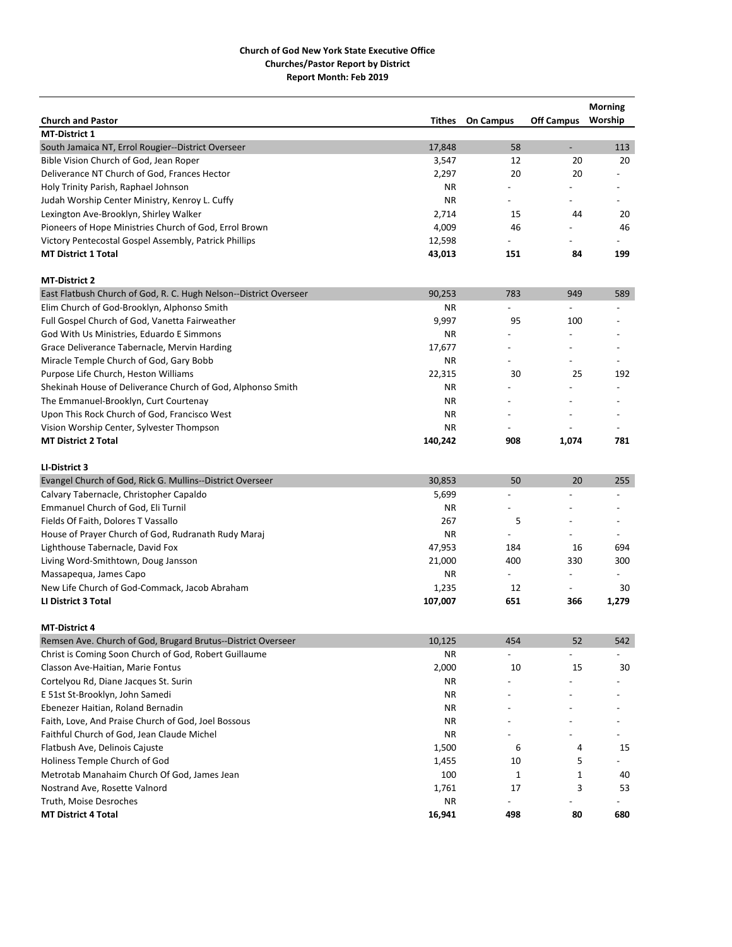| <b>Off Campus</b><br>Worship<br><b>Church and Pastor</b><br>Tithes<br><b>On Campus</b><br><b>MT-District 1</b><br>17,848<br>58<br>113<br>$\overline{\phantom{0}}$<br>Bible Vision Church of God, Jean Roper<br>3,547<br>12<br>20<br>20<br>Deliverance NT Church of God, Frances Hector<br>2,297<br>20<br>20<br>Holy Trinity Parish, Raphael Johnson<br>ΝR<br>Judah Worship Center Ministry, Kenroy L. Cuffy<br><b>NR</b><br>$\overline{a}$<br>$\overline{a}$<br>Lexington Ave-Brooklyn, Shirley Walker<br>2,714<br>15<br>44<br>20<br>4,009<br>46<br>Pioneers of Hope Ministries Church of God, Errol Brown<br>46<br>12,598<br>Victory Pentecostal Gospel Assembly, Patrick Phillips<br><b>MT District 1 Total</b><br>43,013<br>151<br>84<br>199<br><b>MT-District 2</b><br>East Flatbush Church of God, R. C. Hugh Nelson--District Overseer<br>90,253<br>783<br>949<br>589<br><b>NR</b><br>Elim Church of God-Brooklyn, Alphonso Smith<br>Full Gospel Church of God, Vanetta Fairweather<br>9,997<br>95<br>100<br><b>NR</b><br>God With Us Ministries, Eduardo E Simmons<br>Grace Deliverance Tabernacle, Mervin Harding<br>17,677<br>$\overline{a}$<br>Miracle Temple Church of God, Gary Bobb<br>ΝR<br>$\overline{a}$<br>$\overline{\phantom{0}}$<br>Purpose Life Church, Heston Williams<br>22,315<br>25<br>192<br>30<br><b>NR</b><br>Shekinah House of Deliverance Church of God, Alphonso Smith<br>The Emmanuel-Brooklyn, Curt Courtenay<br>ΝR<br><b>NR</b><br>Upon This Rock Church of God, Francisco West<br>Vision Worship Center, Sylvester Thompson<br>ΝR<br><b>MT District 2 Total</b><br>140,242<br>908<br>781<br>1,074<br>LI-District 3<br>30,853<br>50<br>20<br>255<br>Calvary Tabernacle, Christopher Capaldo<br>5,699<br>Emmanuel Church of God, Eli Turnil<br><b>NR</b><br>267<br>Fields Of Faith, Dolores T Vassallo<br>5<br>House of Prayer Church of God, Rudranath Rudy Maraj<br><b>NR</b><br>$\overline{a}$<br>$\overline{\phantom{a}}$<br>Lighthouse Tabernacle, David Fox<br>47,953<br>184<br>16<br>694<br>400<br>330<br>300<br>Living Word-Smithtown, Doug Jansson<br>21,000<br><b>NR</b><br>Massapequa, James Capo<br>$\overline{\phantom{a}}$<br>New Life Church of God-Commack, Jacob Abraham<br>12<br>1,235<br>30<br>$\overline{\phantom{0}}$<br>651<br><b>LI District 3 Total</b><br>107,007<br>366<br>1,279<br><b>MT-District 4</b><br>10,125<br>52<br>542<br>454<br>Christ is Coming Soon Church of God, Robert Guillaume<br>ΝR<br>$\overline{a}$<br>$\overline{a}$<br>2,000<br>10<br>15<br>30<br>Classon Ave-Haitian, Marie Fontus<br>Cortelyou Rd, Diane Jacques St. Surin<br>ΝR<br>E 51st St-Brooklyn, John Samedi<br>ΝR<br>Ebenezer Haitian, Roland Bernadin<br>ΝR<br>Faith, Love, And Praise Church of God, Joel Bossous<br>ΝR<br>Faithful Church of God, Jean Claude Michel<br>ΝR<br>Flatbush Ave, Delinois Cajuste<br>1,500<br>6<br>4<br>15<br>Holiness Temple Church of God<br>1,455<br>10<br>5<br>100<br>Metrotab Manahaim Church Of God, James Jean<br>1<br>1<br>40<br>17<br>Nostrand Ave, Rosette Valnord<br>1,761<br>3<br>53<br>Truth, Moise Desroches<br>ΝR<br>$\overline{a}$<br>16,941<br>498<br>80<br>680<br><b>MT District 4 Total</b> |                                                              |  | <b>Morning</b> |
|-----------------------------------------------------------------------------------------------------------------------------------------------------------------------------------------------------------------------------------------------------------------------------------------------------------------------------------------------------------------------------------------------------------------------------------------------------------------------------------------------------------------------------------------------------------------------------------------------------------------------------------------------------------------------------------------------------------------------------------------------------------------------------------------------------------------------------------------------------------------------------------------------------------------------------------------------------------------------------------------------------------------------------------------------------------------------------------------------------------------------------------------------------------------------------------------------------------------------------------------------------------------------------------------------------------------------------------------------------------------------------------------------------------------------------------------------------------------------------------------------------------------------------------------------------------------------------------------------------------------------------------------------------------------------------------------------------------------------------------------------------------------------------------------------------------------------------------------------------------------------------------------------------------------------------------------------------------------------------------------------------------------------------------------------------------------------------------------------------------------------------------------------------------------------------------------------------------------------------------------------------------------------------------------------------------------------------------------------------------------------------------------------------------------------------------------------------------------------------------------------------------------------------------------------------------------------------------------------------------------------------------------------------------------------------------------------------------------------------------------------------------------------------------------------------------------------------------------------------------------------------------------------------------------------------------------------------------------------------------------------------------------------------------------------------------------------------------------------------------------------------------------------------------------------------------------|--------------------------------------------------------------|--|----------------|
|                                                                                                                                                                                                                                                                                                                                                                                                                                                                                                                                                                                                                                                                                                                                                                                                                                                                                                                                                                                                                                                                                                                                                                                                                                                                                                                                                                                                                                                                                                                                                                                                                                                                                                                                                                                                                                                                                                                                                                                                                                                                                                                                                                                                                                                                                                                                                                                                                                                                                                                                                                                                                                                                                                                                                                                                                                                                                                                                                                                                                                                                                                                                                                                         |                                                              |  |                |
|                                                                                                                                                                                                                                                                                                                                                                                                                                                                                                                                                                                                                                                                                                                                                                                                                                                                                                                                                                                                                                                                                                                                                                                                                                                                                                                                                                                                                                                                                                                                                                                                                                                                                                                                                                                                                                                                                                                                                                                                                                                                                                                                                                                                                                                                                                                                                                                                                                                                                                                                                                                                                                                                                                                                                                                                                                                                                                                                                                                                                                                                                                                                                                                         |                                                              |  |                |
|                                                                                                                                                                                                                                                                                                                                                                                                                                                                                                                                                                                                                                                                                                                                                                                                                                                                                                                                                                                                                                                                                                                                                                                                                                                                                                                                                                                                                                                                                                                                                                                                                                                                                                                                                                                                                                                                                                                                                                                                                                                                                                                                                                                                                                                                                                                                                                                                                                                                                                                                                                                                                                                                                                                                                                                                                                                                                                                                                                                                                                                                                                                                                                                         | South Jamaica NT, Errol Rougier--District Overseer           |  |                |
|                                                                                                                                                                                                                                                                                                                                                                                                                                                                                                                                                                                                                                                                                                                                                                                                                                                                                                                                                                                                                                                                                                                                                                                                                                                                                                                                                                                                                                                                                                                                                                                                                                                                                                                                                                                                                                                                                                                                                                                                                                                                                                                                                                                                                                                                                                                                                                                                                                                                                                                                                                                                                                                                                                                                                                                                                                                                                                                                                                                                                                                                                                                                                                                         |                                                              |  |                |
|                                                                                                                                                                                                                                                                                                                                                                                                                                                                                                                                                                                                                                                                                                                                                                                                                                                                                                                                                                                                                                                                                                                                                                                                                                                                                                                                                                                                                                                                                                                                                                                                                                                                                                                                                                                                                                                                                                                                                                                                                                                                                                                                                                                                                                                                                                                                                                                                                                                                                                                                                                                                                                                                                                                                                                                                                                                                                                                                                                                                                                                                                                                                                                                         |                                                              |  |                |
|                                                                                                                                                                                                                                                                                                                                                                                                                                                                                                                                                                                                                                                                                                                                                                                                                                                                                                                                                                                                                                                                                                                                                                                                                                                                                                                                                                                                                                                                                                                                                                                                                                                                                                                                                                                                                                                                                                                                                                                                                                                                                                                                                                                                                                                                                                                                                                                                                                                                                                                                                                                                                                                                                                                                                                                                                                                                                                                                                                                                                                                                                                                                                                                         |                                                              |  |                |
|                                                                                                                                                                                                                                                                                                                                                                                                                                                                                                                                                                                                                                                                                                                                                                                                                                                                                                                                                                                                                                                                                                                                                                                                                                                                                                                                                                                                                                                                                                                                                                                                                                                                                                                                                                                                                                                                                                                                                                                                                                                                                                                                                                                                                                                                                                                                                                                                                                                                                                                                                                                                                                                                                                                                                                                                                                                                                                                                                                                                                                                                                                                                                                                         |                                                              |  |                |
|                                                                                                                                                                                                                                                                                                                                                                                                                                                                                                                                                                                                                                                                                                                                                                                                                                                                                                                                                                                                                                                                                                                                                                                                                                                                                                                                                                                                                                                                                                                                                                                                                                                                                                                                                                                                                                                                                                                                                                                                                                                                                                                                                                                                                                                                                                                                                                                                                                                                                                                                                                                                                                                                                                                                                                                                                                                                                                                                                                                                                                                                                                                                                                                         |                                                              |  |                |
|                                                                                                                                                                                                                                                                                                                                                                                                                                                                                                                                                                                                                                                                                                                                                                                                                                                                                                                                                                                                                                                                                                                                                                                                                                                                                                                                                                                                                                                                                                                                                                                                                                                                                                                                                                                                                                                                                                                                                                                                                                                                                                                                                                                                                                                                                                                                                                                                                                                                                                                                                                                                                                                                                                                                                                                                                                                                                                                                                                                                                                                                                                                                                                                         |                                                              |  |                |
|                                                                                                                                                                                                                                                                                                                                                                                                                                                                                                                                                                                                                                                                                                                                                                                                                                                                                                                                                                                                                                                                                                                                                                                                                                                                                                                                                                                                                                                                                                                                                                                                                                                                                                                                                                                                                                                                                                                                                                                                                                                                                                                                                                                                                                                                                                                                                                                                                                                                                                                                                                                                                                                                                                                                                                                                                                                                                                                                                                                                                                                                                                                                                                                         |                                                              |  |                |
|                                                                                                                                                                                                                                                                                                                                                                                                                                                                                                                                                                                                                                                                                                                                                                                                                                                                                                                                                                                                                                                                                                                                                                                                                                                                                                                                                                                                                                                                                                                                                                                                                                                                                                                                                                                                                                                                                                                                                                                                                                                                                                                                                                                                                                                                                                                                                                                                                                                                                                                                                                                                                                                                                                                                                                                                                                                                                                                                                                                                                                                                                                                                                                                         |                                                              |  |                |
|                                                                                                                                                                                                                                                                                                                                                                                                                                                                                                                                                                                                                                                                                                                                                                                                                                                                                                                                                                                                                                                                                                                                                                                                                                                                                                                                                                                                                                                                                                                                                                                                                                                                                                                                                                                                                                                                                                                                                                                                                                                                                                                                                                                                                                                                                                                                                                                                                                                                                                                                                                                                                                                                                                                                                                                                                                                                                                                                                                                                                                                                                                                                                                                         |                                                              |  |                |
|                                                                                                                                                                                                                                                                                                                                                                                                                                                                                                                                                                                                                                                                                                                                                                                                                                                                                                                                                                                                                                                                                                                                                                                                                                                                                                                                                                                                                                                                                                                                                                                                                                                                                                                                                                                                                                                                                                                                                                                                                                                                                                                                                                                                                                                                                                                                                                                                                                                                                                                                                                                                                                                                                                                                                                                                                                                                                                                                                                                                                                                                                                                                                                                         |                                                              |  |                |
|                                                                                                                                                                                                                                                                                                                                                                                                                                                                                                                                                                                                                                                                                                                                                                                                                                                                                                                                                                                                                                                                                                                                                                                                                                                                                                                                                                                                                                                                                                                                                                                                                                                                                                                                                                                                                                                                                                                                                                                                                                                                                                                                                                                                                                                                                                                                                                                                                                                                                                                                                                                                                                                                                                                                                                                                                                                                                                                                                                                                                                                                                                                                                                                         |                                                              |  |                |
|                                                                                                                                                                                                                                                                                                                                                                                                                                                                                                                                                                                                                                                                                                                                                                                                                                                                                                                                                                                                                                                                                                                                                                                                                                                                                                                                                                                                                                                                                                                                                                                                                                                                                                                                                                                                                                                                                                                                                                                                                                                                                                                                                                                                                                                                                                                                                                                                                                                                                                                                                                                                                                                                                                                                                                                                                                                                                                                                                                                                                                                                                                                                                                                         |                                                              |  |                |
|                                                                                                                                                                                                                                                                                                                                                                                                                                                                                                                                                                                                                                                                                                                                                                                                                                                                                                                                                                                                                                                                                                                                                                                                                                                                                                                                                                                                                                                                                                                                                                                                                                                                                                                                                                                                                                                                                                                                                                                                                                                                                                                                                                                                                                                                                                                                                                                                                                                                                                                                                                                                                                                                                                                                                                                                                                                                                                                                                                                                                                                                                                                                                                                         |                                                              |  |                |
|                                                                                                                                                                                                                                                                                                                                                                                                                                                                                                                                                                                                                                                                                                                                                                                                                                                                                                                                                                                                                                                                                                                                                                                                                                                                                                                                                                                                                                                                                                                                                                                                                                                                                                                                                                                                                                                                                                                                                                                                                                                                                                                                                                                                                                                                                                                                                                                                                                                                                                                                                                                                                                                                                                                                                                                                                                                                                                                                                                                                                                                                                                                                                                                         |                                                              |  |                |
|                                                                                                                                                                                                                                                                                                                                                                                                                                                                                                                                                                                                                                                                                                                                                                                                                                                                                                                                                                                                                                                                                                                                                                                                                                                                                                                                                                                                                                                                                                                                                                                                                                                                                                                                                                                                                                                                                                                                                                                                                                                                                                                                                                                                                                                                                                                                                                                                                                                                                                                                                                                                                                                                                                                                                                                                                                                                                                                                                                                                                                                                                                                                                                                         |                                                              |  |                |
|                                                                                                                                                                                                                                                                                                                                                                                                                                                                                                                                                                                                                                                                                                                                                                                                                                                                                                                                                                                                                                                                                                                                                                                                                                                                                                                                                                                                                                                                                                                                                                                                                                                                                                                                                                                                                                                                                                                                                                                                                                                                                                                                                                                                                                                                                                                                                                                                                                                                                                                                                                                                                                                                                                                                                                                                                                                                                                                                                                                                                                                                                                                                                                                         |                                                              |  |                |
|                                                                                                                                                                                                                                                                                                                                                                                                                                                                                                                                                                                                                                                                                                                                                                                                                                                                                                                                                                                                                                                                                                                                                                                                                                                                                                                                                                                                                                                                                                                                                                                                                                                                                                                                                                                                                                                                                                                                                                                                                                                                                                                                                                                                                                                                                                                                                                                                                                                                                                                                                                                                                                                                                                                                                                                                                                                                                                                                                                                                                                                                                                                                                                                         |                                                              |  |                |
|                                                                                                                                                                                                                                                                                                                                                                                                                                                                                                                                                                                                                                                                                                                                                                                                                                                                                                                                                                                                                                                                                                                                                                                                                                                                                                                                                                                                                                                                                                                                                                                                                                                                                                                                                                                                                                                                                                                                                                                                                                                                                                                                                                                                                                                                                                                                                                                                                                                                                                                                                                                                                                                                                                                                                                                                                                                                                                                                                                                                                                                                                                                                                                                         |                                                              |  |                |
|                                                                                                                                                                                                                                                                                                                                                                                                                                                                                                                                                                                                                                                                                                                                                                                                                                                                                                                                                                                                                                                                                                                                                                                                                                                                                                                                                                                                                                                                                                                                                                                                                                                                                                                                                                                                                                                                                                                                                                                                                                                                                                                                                                                                                                                                                                                                                                                                                                                                                                                                                                                                                                                                                                                                                                                                                                                                                                                                                                                                                                                                                                                                                                                         |                                                              |  |                |
|                                                                                                                                                                                                                                                                                                                                                                                                                                                                                                                                                                                                                                                                                                                                                                                                                                                                                                                                                                                                                                                                                                                                                                                                                                                                                                                                                                                                                                                                                                                                                                                                                                                                                                                                                                                                                                                                                                                                                                                                                                                                                                                                                                                                                                                                                                                                                                                                                                                                                                                                                                                                                                                                                                                                                                                                                                                                                                                                                                                                                                                                                                                                                                                         |                                                              |  |                |
|                                                                                                                                                                                                                                                                                                                                                                                                                                                                                                                                                                                                                                                                                                                                                                                                                                                                                                                                                                                                                                                                                                                                                                                                                                                                                                                                                                                                                                                                                                                                                                                                                                                                                                                                                                                                                                                                                                                                                                                                                                                                                                                                                                                                                                                                                                                                                                                                                                                                                                                                                                                                                                                                                                                                                                                                                                                                                                                                                                                                                                                                                                                                                                                         |                                                              |  |                |
|                                                                                                                                                                                                                                                                                                                                                                                                                                                                                                                                                                                                                                                                                                                                                                                                                                                                                                                                                                                                                                                                                                                                                                                                                                                                                                                                                                                                                                                                                                                                                                                                                                                                                                                                                                                                                                                                                                                                                                                                                                                                                                                                                                                                                                                                                                                                                                                                                                                                                                                                                                                                                                                                                                                                                                                                                                                                                                                                                                                                                                                                                                                                                                                         |                                                              |  |                |
|                                                                                                                                                                                                                                                                                                                                                                                                                                                                                                                                                                                                                                                                                                                                                                                                                                                                                                                                                                                                                                                                                                                                                                                                                                                                                                                                                                                                                                                                                                                                                                                                                                                                                                                                                                                                                                                                                                                                                                                                                                                                                                                                                                                                                                                                                                                                                                                                                                                                                                                                                                                                                                                                                                                                                                                                                                                                                                                                                                                                                                                                                                                                                                                         |                                                              |  |                |
|                                                                                                                                                                                                                                                                                                                                                                                                                                                                                                                                                                                                                                                                                                                                                                                                                                                                                                                                                                                                                                                                                                                                                                                                                                                                                                                                                                                                                                                                                                                                                                                                                                                                                                                                                                                                                                                                                                                                                                                                                                                                                                                                                                                                                                                                                                                                                                                                                                                                                                                                                                                                                                                                                                                                                                                                                                                                                                                                                                                                                                                                                                                                                                                         | Evangel Church of God, Rick G. Mullins--District Overseer    |  |                |
|                                                                                                                                                                                                                                                                                                                                                                                                                                                                                                                                                                                                                                                                                                                                                                                                                                                                                                                                                                                                                                                                                                                                                                                                                                                                                                                                                                                                                                                                                                                                                                                                                                                                                                                                                                                                                                                                                                                                                                                                                                                                                                                                                                                                                                                                                                                                                                                                                                                                                                                                                                                                                                                                                                                                                                                                                                                                                                                                                                                                                                                                                                                                                                                         |                                                              |  |                |
|                                                                                                                                                                                                                                                                                                                                                                                                                                                                                                                                                                                                                                                                                                                                                                                                                                                                                                                                                                                                                                                                                                                                                                                                                                                                                                                                                                                                                                                                                                                                                                                                                                                                                                                                                                                                                                                                                                                                                                                                                                                                                                                                                                                                                                                                                                                                                                                                                                                                                                                                                                                                                                                                                                                                                                                                                                                                                                                                                                                                                                                                                                                                                                                         |                                                              |  |                |
|                                                                                                                                                                                                                                                                                                                                                                                                                                                                                                                                                                                                                                                                                                                                                                                                                                                                                                                                                                                                                                                                                                                                                                                                                                                                                                                                                                                                                                                                                                                                                                                                                                                                                                                                                                                                                                                                                                                                                                                                                                                                                                                                                                                                                                                                                                                                                                                                                                                                                                                                                                                                                                                                                                                                                                                                                                                                                                                                                                                                                                                                                                                                                                                         |                                                              |  |                |
|                                                                                                                                                                                                                                                                                                                                                                                                                                                                                                                                                                                                                                                                                                                                                                                                                                                                                                                                                                                                                                                                                                                                                                                                                                                                                                                                                                                                                                                                                                                                                                                                                                                                                                                                                                                                                                                                                                                                                                                                                                                                                                                                                                                                                                                                                                                                                                                                                                                                                                                                                                                                                                                                                                                                                                                                                                                                                                                                                                                                                                                                                                                                                                                         |                                                              |  |                |
|                                                                                                                                                                                                                                                                                                                                                                                                                                                                                                                                                                                                                                                                                                                                                                                                                                                                                                                                                                                                                                                                                                                                                                                                                                                                                                                                                                                                                                                                                                                                                                                                                                                                                                                                                                                                                                                                                                                                                                                                                                                                                                                                                                                                                                                                                                                                                                                                                                                                                                                                                                                                                                                                                                                                                                                                                                                                                                                                                                                                                                                                                                                                                                                         |                                                              |  |                |
|                                                                                                                                                                                                                                                                                                                                                                                                                                                                                                                                                                                                                                                                                                                                                                                                                                                                                                                                                                                                                                                                                                                                                                                                                                                                                                                                                                                                                                                                                                                                                                                                                                                                                                                                                                                                                                                                                                                                                                                                                                                                                                                                                                                                                                                                                                                                                                                                                                                                                                                                                                                                                                                                                                                                                                                                                                                                                                                                                                                                                                                                                                                                                                                         |                                                              |  |                |
|                                                                                                                                                                                                                                                                                                                                                                                                                                                                                                                                                                                                                                                                                                                                                                                                                                                                                                                                                                                                                                                                                                                                                                                                                                                                                                                                                                                                                                                                                                                                                                                                                                                                                                                                                                                                                                                                                                                                                                                                                                                                                                                                                                                                                                                                                                                                                                                                                                                                                                                                                                                                                                                                                                                                                                                                                                                                                                                                                                                                                                                                                                                                                                                         |                                                              |  |                |
|                                                                                                                                                                                                                                                                                                                                                                                                                                                                                                                                                                                                                                                                                                                                                                                                                                                                                                                                                                                                                                                                                                                                                                                                                                                                                                                                                                                                                                                                                                                                                                                                                                                                                                                                                                                                                                                                                                                                                                                                                                                                                                                                                                                                                                                                                                                                                                                                                                                                                                                                                                                                                                                                                                                                                                                                                                                                                                                                                                                                                                                                                                                                                                                         |                                                              |  |                |
|                                                                                                                                                                                                                                                                                                                                                                                                                                                                                                                                                                                                                                                                                                                                                                                                                                                                                                                                                                                                                                                                                                                                                                                                                                                                                                                                                                                                                                                                                                                                                                                                                                                                                                                                                                                                                                                                                                                                                                                                                                                                                                                                                                                                                                                                                                                                                                                                                                                                                                                                                                                                                                                                                                                                                                                                                                                                                                                                                                                                                                                                                                                                                                                         |                                                              |  |                |
|                                                                                                                                                                                                                                                                                                                                                                                                                                                                                                                                                                                                                                                                                                                                                                                                                                                                                                                                                                                                                                                                                                                                                                                                                                                                                                                                                                                                                                                                                                                                                                                                                                                                                                                                                                                                                                                                                                                                                                                                                                                                                                                                                                                                                                                                                                                                                                                                                                                                                                                                                                                                                                                                                                                                                                                                                                                                                                                                                                                                                                                                                                                                                                                         |                                                              |  |                |
|                                                                                                                                                                                                                                                                                                                                                                                                                                                                                                                                                                                                                                                                                                                                                                                                                                                                                                                                                                                                                                                                                                                                                                                                                                                                                                                                                                                                                                                                                                                                                                                                                                                                                                                                                                                                                                                                                                                                                                                                                                                                                                                                                                                                                                                                                                                                                                                                                                                                                                                                                                                                                                                                                                                                                                                                                                                                                                                                                                                                                                                                                                                                                                                         | Remsen Ave. Church of God, Brugard Brutus--District Overseer |  |                |
|                                                                                                                                                                                                                                                                                                                                                                                                                                                                                                                                                                                                                                                                                                                                                                                                                                                                                                                                                                                                                                                                                                                                                                                                                                                                                                                                                                                                                                                                                                                                                                                                                                                                                                                                                                                                                                                                                                                                                                                                                                                                                                                                                                                                                                                                                                                                                                                                                                                                                                                                                                                                                                                                                                                                                                                                                                                                                                                                                                                                                                                                                                                                                                                         |                                                              |  |                |
|                                                                                                                                                                                                                                                                                                                                                                                                                                                                                                                                                                                                                                                                                                                                                                                                                                                                                                                                                                                                                                                                                                                                                                                                                                                                                                                                                                                                                                                                                                                                                                                                                                                                                                                                                                                                                                                                                                                                                                                                                                                                                                                                                                                                                                                                                                                                                                                                                                                                                                                                                                                                                                                                                                                                                                                                                                                                                                                                                                                                                                                                                                                                                                                         |                                                              |  |                |
|                                                                                                                                                                                                                                                                                                                                                                                                                                                                                                                                                                                                                                                                                                                                                                                                                                                                                                                                                                                                                                                                                                                                                                                                                                                                                                                                                                                                                                                                                                                                                                                                                                                                                                                                                                                                                                                                                                                                                                                                                                                                                                                                                                                                                                                                                                                                                                                                                                                                                                                                                                                                                                                                                                                                                                                                                                                                                                                                                                                                                                                                                                                                                                                         |                                                              |  |                |
|                                                                                                                                                                                                                                                                                                                                                                                                                                                                                                                                                                                                                                                                                                                                                                                                                                                                                                                                                                                                                                                                                                                                                                                                                                                                                                                                                                                                                                                                                                                                                                                                                                                                                                                                                                                                                                                                                                                                                                                                                                                                                                                                                                                                                                                                                                                                                                                                                                                                                                                                                                                                                                                                                                                                                                                                                                                                                                                                                                                                                                                                                                                                                                                         |                                                              |  |                |
|                                                                                                                                                                                                                                                                                                                                                                                                                                                                                                                                                                                                                                                                                                                                                                                                                                                                                                                                                                                                                                                                                                                                                                                                                                                                                                                                                                                                                                                                                                                                                                                                                                                                                                                                                                                                                                                                                                                                                                                                                                                                                                                                                                                                                                                                                                                                                                                                                                                                                                                                                                                                                                                                                                                                                                                                                                                                                                                                                                                                                                                                                                                                                                                         |                                                              |  |                |
|                                                                                                                                                                                                                                                                                                                                                                                                                                                                                                                                                                                                                                                                                                                                                                                                                                                                                                                                                                                                                                                                                                                                                                                                                                                                                                                                                                                                                                                                                                                                                                                                                                                                                                                                                                                                                                                                                                                                                                                                                                                                                                                                                                                                                                                                                                                                                                                                                                                                                                                                                                                                                                                                                                                                                                                                                                                                                                                                                                                                                                                                                                                                                                                         |                                                              |  |                |
|                                                                                                                                                                                                                                                                                                                                                                                                                                                                                                                                                                                                                                                                                                                                                                                                                                                                                                                                                                                                                                                                                                                                                                                                                                                                                                                                                                                                                                                                                                                                                                                                                                                                                                                                                                                                                                                                                                                                                                                                                                                                                                                                                                                                                                                                                                                                                                                                                                                                                                                                                                                                                                                                                                                                                                                                                                                                                                                                                                                                                                                                                                                                                                                         |                                                              |  |                |
|                                                                                                                                                                                                                                                                                                                                                                                                                                                                                                                                                                                                                                                                                                                                                                                                                                                                                                                                                                                                                                                                                                                                                                                                                                                                                                                                                                                                                                                                                                                                                                                                                                                                                                                                                                                                                                                                                                                                                                                                                                                                                                                                                                                                                                                                                                                                                                                                                                                                                                                                                                                                                                                                                                                                                                                                                                                                                                                                                                                                                                                                                                                                                                                         |                                                              |  |                |
|                                                                                                                                                                                                                                                                                                                                                                                                                                                                                                                                                                                                                                                                                                                                                                                                                                                                                                                                                                                                                                                                                                                                                                                                                                                                                                                                                                                                                                                                                                                                                                                                                                                                                                                                                                                                                                                                                                                                                                                                                                                                                                                                                                                                                                                                                                                                                                                                                                                                                                                                                                                                                                                                                                                                                                                                                                                                                                                                                                                                                                                                                                                                                                                         |                                                              |  |                |
|                                                                                                                                                                                                                                                                                                                                                                                                                                                                                                                                                                                                                                                                                                                                                                                                                                                                                                                                                                                                                                                                                                                                                                                                                                                                                                                                                                                                                                                                                                                                                                                                                                                                                                                                                                                                                                                                                                                                                                                                                                                                                                                                                                                                                                                                                                                                                                                                                                                                                                                                                                                                                                                                                                                                                                                                                                                                                                                                                                                                                                                                                                                                                                                         |                                                              |  |                |
|                                                                                                                                                                                                                                                                                                                                                                                                                                                                                                                                                                                                                                                                                                                                                                                                                                                                                                                                                                                                                                                                                                                                                                                                                                                                                                                                                                                                                                                                                                                                                                                                                                                                                                                                                                                                                                                                                                                                                                                                                                                                                                                                                                                                                                                                                                                                                                                                                                                                                                                                                                                                                                                                                                                                                                                                                                                                                                                                                                                                                                                                                                                                                                                         |                                                              |  |                |
|                                                                                                                                                                                                                                                                                                                                                                                                                                                                                                                                                                                                                                                                                                                                                                                                                                                                                                                                                                                                                                                                                                                                                                                                                                                                                                                                                                                                                                                                                                                                                                                                                                                                                                                                                                                                                                                                                                                                                                                                                                                                                                                                                                                                                                                                                                                                                                                                                                                                                                                                                                                                                                                                                                                                                                                                                                                                                                                                                                                                                                                                                                                                                                                         |                                                              |  |                |
|                                                                                                                                                                                                                                                                                                                                                                                                                                                                                                                                                                                                                                                                                                                                                                                                                                                                                                                                                                                                                                                                                                                                                                                                                                                                                                                                                                                                                                                                                                                                                                                                                                                                                                                                                                                                                                                                                                                                                                                                                                                                                                                                                                                                                                                                                                                                                                                                                                                                                                                                                                                                                                                                                                                                                                                                                                                                                                                                                                                                                                                                                                                                                                                         |                                                              |  |                |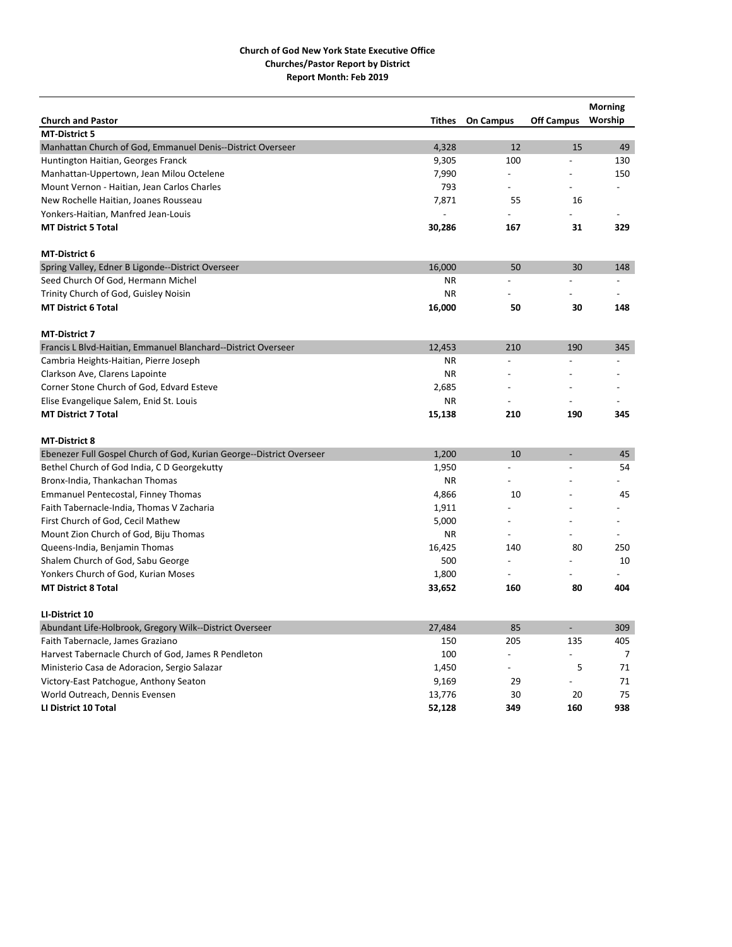| <b>Church and Pastor</b>                                             | <b>Tithes</b> | <b>On Campus</b> | <b>Off Campus</b>        | <b>Morning</b><br>Worship |
|----------------------------------------------------------------------|---------------|------------------|--------------------------|---------------------------|
| <b>MT-District 5</b>                                                 |               |                  |                          |                           |
| Manhattan Church of God, Emmanuel Denis--District Overseer           | 4,328         | 12               | 15                       | 49                        |
| Huntington Haitian, Georges Franck                                   | 9,305         | 100              |                          | 130                       |
| Manhattan-Uppertown, Jean Milou Octelene                             | 7,990         | $\overline{a}$   |                          | 150                       |
| Mount Vernon - Haitian, Jean Carlos Charles                          | 793           | $\overline{a}$   |                          |                           |
| New Rochelle Haitian, Joanes Rousseau                                | 7,871         | 55               | 16                       |                           |
| Yonkers-Haitian, Manfred Jean-Louis                                  |               |                  |                          |                           |
| <b>MT District 5 Total</b>                                           | 30,286        | 167              | 31                       | 329                       |
| <b>MT-District 6</b>                                                 |               |                  |                          |                           |
| Spring Valley, Edner B Ligonde--District Overseer                    | 16,000        | 50               | 30                       | 148                       |
| Seed Church Of God, Hermann Michel                                   | ΝR            | $\overline{a}$   | $\overline{a}$           | $\overline{\phantom{0}}$  |
| Trinity Church of God, Guisley Noisin                                | <b>NR</b>     |                  |                          |                           |
| <b>MT District 6 Total</b>                                           | 16,000        | 50               | 30                       | 148                       |
| <b>MT-District 7</b>                                                 |               |                  |                          |                           |
| Francis L Blvd-Haitian, Emmanuel Blanchard--District Overseer        | 12,453        | 210              | 190                      | 345                       |
| Cambria Heights-Haitian, Pierre Joseph                               | <b>NR</b>     | $\overline{a}$   |                          |                           |
| Clarkson Ave, Clarens Lapointe                                       | <b>NR</b>     |                  |                          |                           |
| Corner Stone Church of God, Edvard Esteve                            | 2,685         |                  |                          |                           |
| Elise Evangelique Salem, Enid St. Louis                              | <b>NR</b>     | $\overline{a}$   |                          |                           |
| <b>MT District 7 Total</b>                                           | 15,138        | 210              | 190                      | 345                       |
| <b>MT-District 8</b>                                                 |               |                  |                          |                           |
| Ebenezer Full Gospel Church of God, Kurian George--District Overseer | 1,200         | 10               |                          | 45                        |
| Bethel Church of God India, C D Georgekutty                          | 1,950         |                  |                          | 54                        |
| Bronx-India, Thankachan Thomas                                       | <b>NR</b>     | $\overline{a}$   |                          |                           |
| <b>Emmanuel Pentecostal, Finney Thomas</b>                           | 4,866         | 10               |                          | 45                        |
| Faith Tabernacle-India, Thomas V Zacharia                            | 1,911         |                  |                          |                           |
| First Church of God, Cecil Mathew                                    | 5,000         | $\overline{a}$   |                          |                           |
| Mount Zion Church of God, Biju Thomas                                | <b>NR</b>     | $\overline{a}$   |                          |                           |
| Queens-India, Benjamin Thomas                                        | 16,425        | 140              | 80                       | 250                       |
| Shalem Church of God, Sabu George                                    | 500           | $\overline{a}$   |                          | 10                        |
| Yonkers Church of God, Kurian Moses                                  | 1,800         | $\overline{a}$   |                          |                           |
| <b>MT District 8 Total</b>                                           | 33,652        | 160              | 80                       | 404                       |
| LI-District 10                                                       |               |                  |                          |                           |
| Abundant Life-Holbrook, Gregory Wilk--District Overseer              | 27,484        | 85               | $\overline{\phantom{a}}$ | 309                       |
| Faith Tabernacle, James Graziano                                     | 150           | 205              | 135                      | 405                       |
| Harvest Tabernacle Church of God, James R Pendleton                  | 100           | $\overline{a}$   |                          | $\overline{7}$            |
| Ministerio Casa de Adoracion, Sergio Salazar                         | 1,450         |                  | 5                        | 71                        |
| Victory-East Patchogue, Anthony Seaton                               | 9,169         | 29               | $\overline{a}$           | 71                        |
| World Outreach, Dennis Evensen                                       | 13,776        | 30               | 20                       | 75                        |
| LI District 10 Total                                                 | 52,128        | 349              | 160                      | 938                       |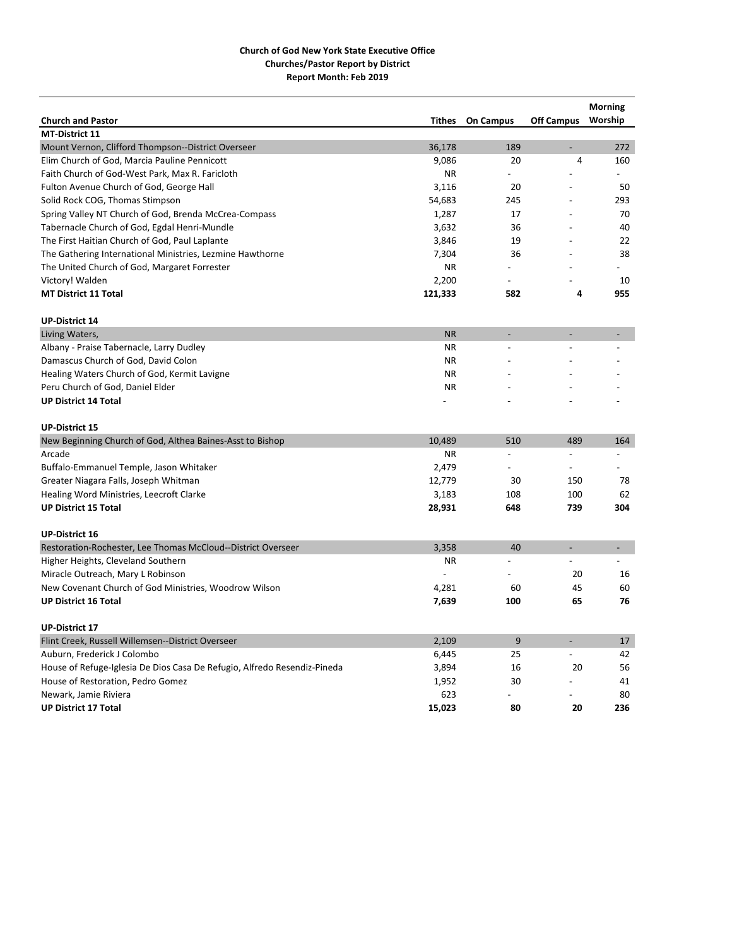| <b>Church and Pastor</b>                                                 | <b>Tithes</b> | <b>On Campus</b> | <b>Off Campus</b> | <b>Morning</b><br>Worship |
|--------------------------------------------------------------------------|---------------|------------------|-------------------|---------------------------|
| <b>MT-District 11</b>                                                    |               |                  |                   |                           |
| Mount Vernon, Clifford Thompson--District Overseer                       | 36,178        | 189              |                   | 272                       |
| Elim Church of God, Marcia Pauline Pennicott                             | 9,086         | 20               | $\overline{4}$    | 160                       |
| Faith Church of God-West Park, Max R. Faricloth                          | <b>NR</b>     |                  |                   |                           |
| Fulton Avenue Church of God, George Hall                                 | 3,116         | 20               |                   | 50                        |
| Solid Rock COG, Thomas Stimpson                                          | 54,683        | 245              |                   | 293                       |
| Spring Valley NT Church of God, Brenda McCrea-Compass                    | 1,287         | 17               |                   | 70                        |
| Tabernacle Church of God, Egdal Henri-Mundle                             | 3,632         | 36               |                   | 40                        |
| The First Haitian Church of God, Paul Laplante                           | 3,846         | 19               |                   | 22                        |
| The Gathering International Ministries, Lezmine Hawthorne                | 7,304         | 36               |                   | 38                        |
| The United Church of God, Margaret Forrester                             | ΝR            |                  |                   |                           |
| Victory! Walden                                                          | 2,200         |                  |                   | 10                        |
| <b>MT District 11 Total</b>                                              | 121,333       | 582              | 4                 | 955                       |
| <b>UP-District 14</b>                                                    |               |                  |                   |                           |
| Living Waters,                                                           | <b>NR</b>     |                  | $\overline{a}$    |                           |
| Albany - Praise Tabernacle, Larry Dudley                                 | <b>NR</b>     |                  |                   |                           |
| Damascus Church of God, David Colon                                      | <b>NR</b>     |                  |                   |                           |
| Healing Waters Church of God, Kermit Lavigne                             | <b>NR</b>     |                  |                   |                           |
| Peru Church of God, Daniel Elder                                         | <b>NR</b>     |                  |                   |                           |
| <b>UP District 14 Total</b>                                              |               |                  |                   |                           |
| <b>UP-District 15</b>                                                    |               |                  |                   |                           |
| New Beginning Church of God, Althea Baines-Asst to Bishop                | 10,489        | 510              | 489               | 164                       |
| Arcade                                                                   | <b>NR</b>     | $\overline{a}$   | $\overline{a}$    |                           |
| Buffalo-Emmanuel Temple, Jason Whitaker                                  | 2,479         | $\overline{a}$   | $\overline{a}$    |                           |
| Greater Niagara Falls, Joseph Whitman                                    | 12,779        | 30               | 150               | 78                        |
| Healing Word Ministries, Leecroft Clarke                                 | 3,183         | 108              | 100               | 62                        |
| <b>UP District 15 Total</b>                                              | 28,931        | 648              | 739               | 304                       |
| <b>UP-District 16</b>                                                    |               |                  |                   |                           |
| Restoration-Rochester, Lee Thomas McCloud--District Overseer             | 3,358         | 40               | $\overline{a}$    | $\overline{\phantom{a}}$  |
| Higher Heights, Cleveland Southern                                       | <b>NR</b>     |                  |                   |                           |
| Miracle Outreach, Mary L Robinson                                        |               |                  | 20                | 16                        |
| New Covenant Church of God Ministries, Woodrow Wilson                    | 4,281         | 60               | 45                | 60                        |
| <b>UP District 16 Total</b>                                              | 7,639         | 100              | 65                | 76                        |
| <b>UP-District 17</b>                                                    |               |                  |                   |                           |
| Flint Creek, Russell Willemsen--District Overseer                        | 2,109         | 9                |                   | 17                        |
| Auburn, Frederick J Colombo                                              | 6,445         | 25               |                   | 42                        |
| House of Refuge-Iglesia De Dios Casa De Refugio, Alfredo Resendiz-Pineda | 3,894         | 16               | 20                | 56                        |
| House of Restoration, Pedro Gomez                                        | 1,952         | 30               |                   | 41                        |
| Newark, Jamie Riviera                                                    | 623           |                  |                   | 80                        |
| <b>UP District 17 Total</b>                                              | 15,023        | 80               | 20                | 236                       |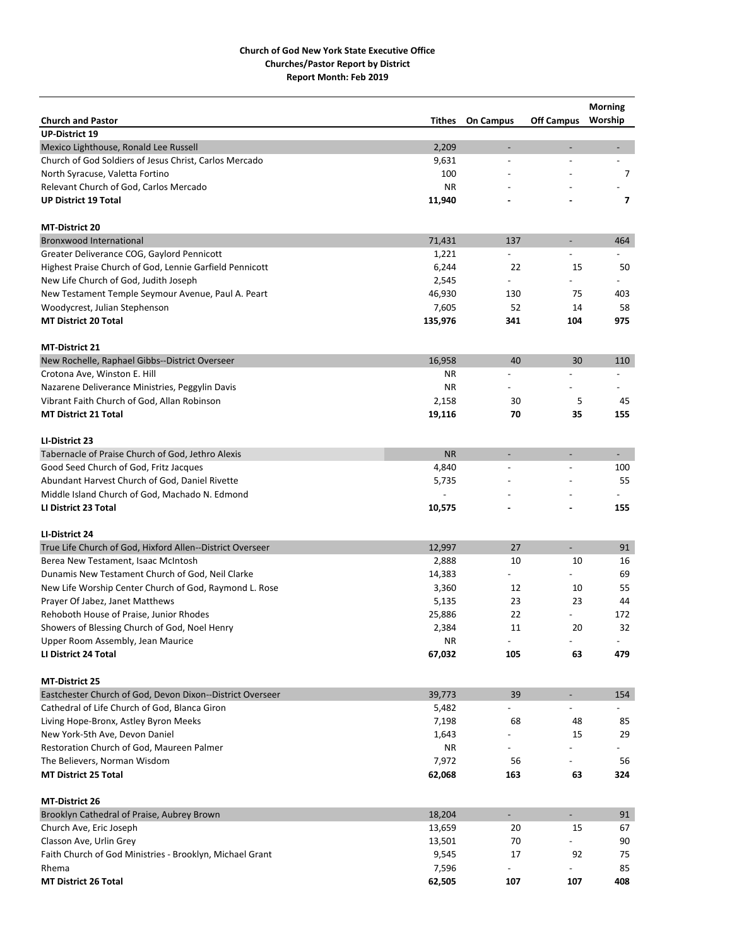|                                                           |           |                          |                             | <b>Morning</b>           |
|-----------------------------------------------------------|-----------|--------------------------|-----------------------------|--------------------------|
| <b>Church and Pastor</b>                                  | Tithes    | <b>On Campus</b>         | <b>Off Campus</b>           | Worship                  |
| <b>UP-District 19</b>                                     |           |                          |                             |                          |
| Mexico Lighthouse, Ronald Lee Russell                     | 2,209     | $\overline{\phantom{a}}$ | $\overline{\phantom{0}}$    |                          |
| Church of God Soldiers of Jesus Christ, Carlos Mercado    | 9,631     | $\overline{a}$           | $\overline{a}$              | $\overline{a}$           |
| North Syracuse, Valetta Fortino                           | 100       |                          |                             | 7                        |
| Relevant Church of God, Carlos Mercado                    | <b>NR</b> |                          |                             |                          |
| <b>UP District 19 Total</b>                               | 11,940    |                          |                             | 7                        |
| <b>MT-District 20</b>                                     |           |                          |                             |                          |
| <b>Bronxwood International</b>                            | 71,431    | 137                      | $\overline{\phantom{a}}$    | 464                      |
| Greater Deliverance COG, Gaylord Pennicott                | 1,221     | $\overline{\phantom{0}}$ |                             |                          |
| Highest Praise Church of God, Lennie Garfield Pennicott   | 6,244     | 22                       | 15                          | 50                       |
| New Life Church of God, Judith Joseph                     | 2,545     |                          |                             |                          |
| New Testament Temple Seymour Avenue, Paul A. Peart        | 46,930    | 130                      | 75                          | 403                      |
| Woodycrest, Julian Stephenson                             | 7,605     | 52                       | 14                          | 58                       |
| <b>MT District 20 Total</b>                               | 135,976   | 341                      | 104                         | 975                      |
| <b>MT-District 21</b>                                     |           |                          |                             |                          |
| New Rochelle, Raphael Gibbs--District Overseer            | 16,958    | 40                       | 30                          | 110                      |
| Crotona Ave, Winston E. Hill                              | ΝR        |                          | $\overline{a}$              |                          |
| Nazarene Deliverance Ministries, Peggylin Davis           | <b>NR</b> |                          |                             |                          |
| Vibrant Faith Church of God, Allan Robinson               | 2,158     | 30                       | 5                           | 45                       |
| <b>MT District 21 Total</b>                               | 19,116    | 70                       | 35                          | 155                      |
|                                                           |           |                          |                             |                          |
| LI-District 23                                            |           |                          |                             |                          |
| Tabernacle of Praise Church of God, Jethro Alexis         | <b>NR</b> | ÷.                       | $\overline{\phantom{a}}$    | $\sim$                   |
| Good Seed Church of God, Fritz Jacques                    | 4,840     |                          | $\overline{a}$              | 100                      |
| Abundant Harvest Church of God, Daniel Rivette            | 5,735     |                          |                             | 55                       |
| Middle Island Church of God, Machado N. Edmond            |           |                          |                             |                          |
| LI District 23 Total                                      | 10,575    |                          |                             | 155                      |
| LI-District 24                                            |           |                          |                             |                          |
| True Life Church of God, Hixford Allen--District Overseer | 12,997    | 27                       | ÷,                          | 91                       |
| Berea New Testament, Isaac McIntosh                       | 2,888     | 10                       | 10                          | 16                       |
| Dunamis New Testament Church of God, Neil Clarke          | 14,383    | $\overline{\phantom{0}}$ |                             | 69                       |
| New Life Worship Center Church of God, Raymond L. Rose    | 3,360     | 12                       | 10                          | 55                       |
| Prayer Of Jabez, Janet Matthews                           | 5,135     | 23                       | 23                          | 44                       |
| Rehoboth House of Praise, Junior Rhodes                   | 25,886    | 22                       |                             | 172                      |
| Showers of Blessing Church of God, Noel Henry             | 2,384     | 11                       | 20                          | 32                       |
| Upper Room Assembly, Jean Maurice                         | <b>NR</b> | $\blacksquare$           | $\overline{\phantom{0}}$    | $\overline{\phantom{a}}$ |
| LI District 24 Total                                      | 67,032    | 105                      | 63                          | 479                      |
|                                                           |           |                          |                             |                          |
| <b>MT-District 25</b>                                     |           |                          |                             |                          |
| Eastchester Church of God, Devon Dixon--District Overseer | 39,773    | 39                       | $\overline{\phantom{a}}$    | 154                      |
| Cathedral of Life Church of God, Blanca Giron             | 5,482     |                          |                             |                          |
| Living Hope-Bronx, Astley Byron Meeks                     | 7,198     | 68                       | 48                          | 85                       |
| New York-5th Ave, Devon Daniel                            | 1,643     |                          | 15                          | 29                       |
| Restoration Church of God, Maureen Palmer                 | ΝR        |                          |                             |                          |
| The Believers, Norman Wisdom                              | 7,972     | 56                       |                             | 56                       |
| <b>MT District 25 Total</b>                               | 62,068    | 163                      | 63                          | 324                      |
| MT-District 26                                            |           |                          |                             |                          |
| Brooklyn Cathedral of Praise, Aubrey Brown                | 18,204    | ÷,                       | $\mathcal{L}_{\mathcal{A}}$ | 91                       |
| Church Ave, Eric Joseph                                   | 13,659    | 20                       | 15                          | 67                       |
| Classon Ave, Urlin Grey                                   | 13,501    | 70                       |                             | 90                       |
| Faith Church of God Ministries - Brooklyn, Michael Grant  | 9,545     | 17                       | 92                          | 75                       |
| Rhema                                                     | 7,596     |                          |                             | 85                       |
| <b>MT District 26 Total</b>                               | 62,505    | 107                      | 107                         | 408                      |